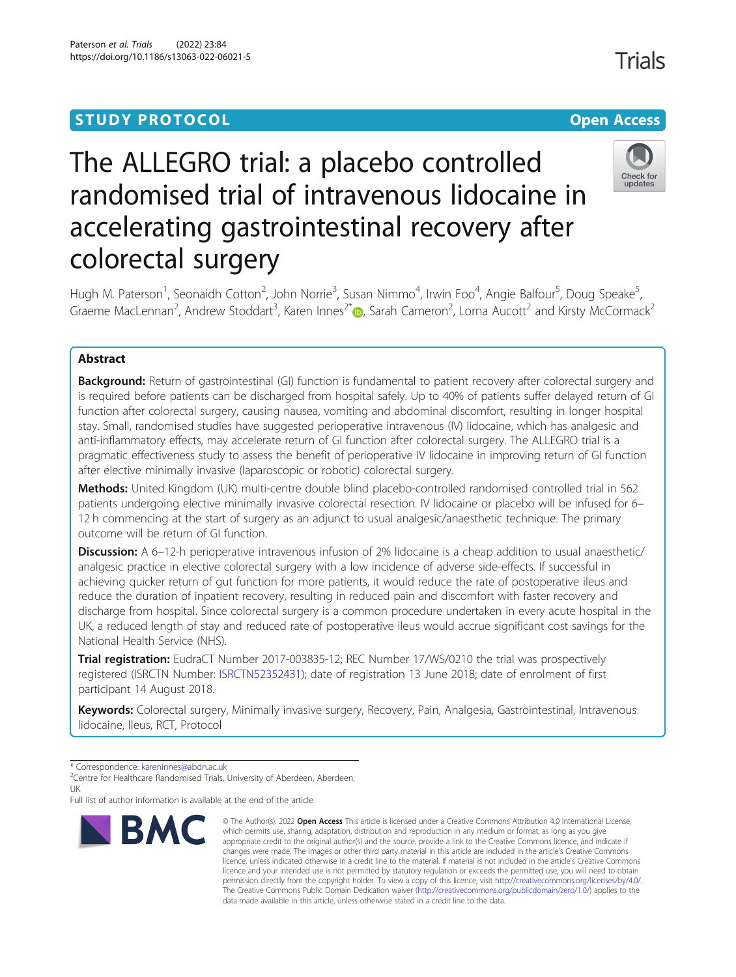# **STUDY PROTOCOL CONSUMING THE CONSUMING OPEN ACCESS**

# The ALLEGRO trial: a placebo controlled randomised trial of intravenous lidocaine in accelerating gastrointestinal recovery after colorectal surgery



Hugh M. Paterson<sup>1</sup>, Seonaidh Cotton<sup>2</sup>, John Norrie<sup>3</sup>, Susan Nimmo<sup>4</sup>, Irwin Foo<sup>4</sup>, Angie Balfour<sup>5</sup>, Doug Speake<sup>5</sup> .<br>، Graeme MacLennan<sup>2</sup>, Andrew Stoddart<sup>3</sup>, Karen Innes<sup>2[\\*](http://orcid.org/0000-0001-8512-4368)</sup> $\bullet$ , Sarah Cameron<sup>2</sup>, Lorna Aucott<sup>2</sup> and Kirsty McCormack<sup>2</sup>

# Abstract

**Background:** Return of gastrointestinal (GI) function is fundamental to patient recovery after colorectal surgery and is required before patients can be discharged from hospital safely. Up to 40% of patients suffer delayed return of GI function after colorectal surgery, causing nausea, vomiting and abdominal discomfort, resulting in longer hospital stay. Small, randomised studies have suggested perioperative intravenous (IV) lidocaine, which has analgesic and anti-inflammatory effects, may accelerate return of GI function after colorectal surgery. The ALLEGRO trial is a pragmatic effectiveness study to assess the benefit of perioperative IV lidocaine in improving return of GI function after elective minimally invasive (laparoscopic or robotic) colorectal surgery.

Methods: United Kingdom (UK) multi-centre double blind placebo-controlled randomised controlled trial in 562 patients undergoing elective minimally invasive colorectal resection. IV lidocaine or placebo will be infused for 6– 12 h commencing at the start of surgery as an adjunct to usual analgesic/anaesthetic technique. The primary outcome will be return of GI function.

Discussion: A 6-12-h perioperative intravenous infusion of 2% lidocaine is a cheap addition to usual anaesthetic/ analgesic practice in elective colorectal surgery with a low incidence of adverse side-effects. If successful in achieving quicker return of gut function for more patients, it would reduce the rate of postoperative ileus and reduce the duration of inpatient recovery, resulting in reduced pain and discomfort with faster recovery and discharge from hospital. Since colorectal surgery is a common procedure undertaken in every acute hospital in the UK, a reduced length of stay and reduced rate of postoperative ileus would accrue significant cost savings for the National Health Service (NHS).

Trial registration: EudraCT Number 2017-003835-12; REC Number 17/WS/0210 the trial was prospectively registered (ISRCTN Number: [ISRCTN52352431](https://www.isrctn.com/ISRCTN52352431)); date of registration 13 June 2018; date of enrolment of first participant 14 August 2018.

Keywords: Colorectal surgery, Minimally invasive surgery, Recovery, Pain, Analgesia, Gastrointestinal, Intravenous lidocaine, Ileus, RCT, Protocol

Full list of author information is available at the end of the article



<sup>©</sup> The Author(s), 2022 **Open Access** This article is licensed under a Creative Commons Attribution 4.0 International License, which permits use, sharing, adaptation, distribution and reproduction in any medium or format, as long as you give appropriate credit to the original author(s) and the source, provide a link to the Creative Commons licence, and indicate if changes were made. The images or other third party material in this article are included in the article's Creative Commons licence, unless indicated otherwise in a credit line to the material. If material is not included in the article's Creative Commons licence and your intended use is not permitted by statutory regulation or exceeds the permitted use, you will need to obtain permission directly from the copyright holder. To view a copy of this licence, visit [http://creativecommons.org/licenses/by/4.0/.](http://creativecommons.org/licenses/by/4.0/) The Creative Commons Public Domain Dedication waiver [\(http://creativecommons.org/publicdomain/zero/1.0/](http://creativecommons.org/publicdomain/zero/1.0/)) applies to the data made available in this article, unless otherwise stated in a credit line to the data.

<sup>\*</sup> Correspondence: [kareninnes@abdn.ac.uk](mailto:kareninnes@abdn.ac.uk) <sup>2</sup>

<sup>&</sup>lt;sup>2</sup> Centre for Healthcare Randomised Trials, University of Aberdeen, Aberdeen, UK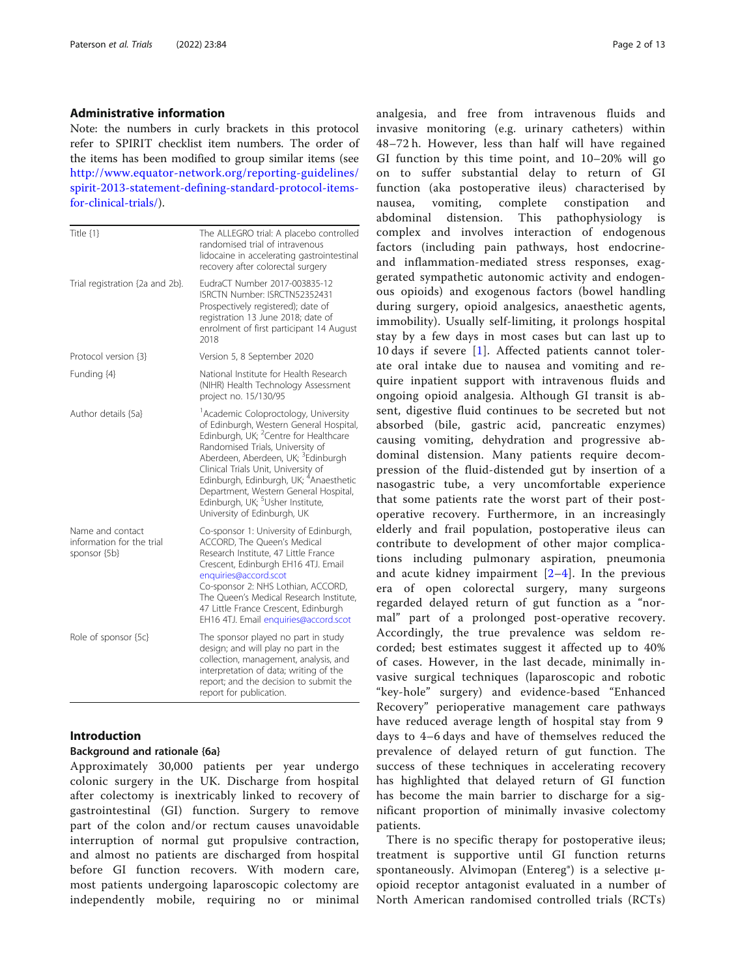# Administrative information

Note: the numbers in curly brackets in this protocol refer to SPIRIT checklist item numbers. The order of the items has been modified to group similar items (see [http://www.equator-network.org/reporting-guidelines/](http://www.equator-network.org/reporting-guidelines/spirit-2013-statement-defining-standard-protocol-items-for-clinical-trials/) [spirit-2013-statement-defining-standard-protocol-items](http://www.equator-network.org/reporting-guidelines/spirit-2013-statement-defining-standard-protocol-items-for-clinical-trials/)[for-clinical-trials/](http://www.equator-network.org/reporting-guidelines/spirit-2013-statement-defining-standard-protocol-items-for-clinical-trials/)).

| Title {1}                                                     | The ALLEGRO trial: A placebo controlled<br>randomised trial of intravenous<br>lidocaine in accelerating gastrointestinal<br>recovery after colorectal surgery                                                                                                                                                                                                                                                                                               |
|---------------------------------------------------------------|-------------------------------------------------------------------------------------------------------------------------------------------------------------------------------------------------------------------------------------------------------------------------------------------------------------------------------------------------------------------------------------------------------------------------------------------------------------|
| Trial registration {2a and 2b}.                               | EudraCT Number 2017-003835-12<br>ISRCTN Number: ISRCTN52352431<br>Prospectively registered); date of<br>registration 13 June 2018; date of<br>enrolment of first participant 14 August<br>2018                                                                                                                                                                                                                                                              |
| Protocol version {3}                                          | Version 5, 8 September 2020                                                                                                                                                                                                                                                                                                                                                                                                                                 |
| Funding {4}                                                   | National Institute for Health Research<br>(NIHR) Health Technology Assessment<br>project no. 15/130/95                                                                                                                                                                                                                                                                                                                                                      |
| Author details {5a}                                           | <sup>1</sup> Academic Coloproctology, University<br>of Edinburgh, Western General Hospital,<br>Edinburgh, UK; <sup>2</sup> Centre for Healthcare<br>Randomised Trials, University of<br>Aberdeen, Aberdeen, UK; <sup>3</sup> Edinburgh<br>Clinical Trials Unit, University of<br>Edinburgh, Edinburgh, UK; <sup>4</sup> Anaesthetic<br>Department, Western General Hospital,<br>Edinburgh, UK; <sup>5</sup> Usher Institute,<br>University of Edinburgh, UK |
| Name and contact<br>information for the trial<br>sponsor {5b} | Co-sponsor 1: University of Edinburgh,<br>ACCORD, The Queen's Medical<br>Research Institute, 47 Little France<br>Crescent, Edinburgh EH16 4TJ. Email<br>enquiries@accord.scot<br>Co-sponsor 2: NHS Lothian, ACCORD,<br>The Queen's Medical Research Institute,<br>47 Little France Crescent, Edinburgh<br>EH16 4TJ. Email enquiries@accord.scot                                                                                                             |
| Role of sponsor {5c}                                          | The sponsor played no part in study<br>design; and will play no part in the<br>collection, management, analysis, and<br>interpretation of data; writing of the<br>report; and the decision to submit the<br>report for publication.                                                                                                                                                                                                                         |

# Introduction

### Background and rationale {6a}

Approximately 30,000 patients per year undergo colonic surgery in the UK. Discharge from hospital after colectomy is inextricably linked to recovery of gastrointestinal (GI) function. Surgery to remove part of the colon and/or rectum causes unavoidable interruption of normal gut propulsive contraction, and almost no patients are discharged from hospital before GI function recovers. With modern care, most patients undergoing laparoscopic colectomy are independently mobile, requiring no or minimal analgesia, and free from intravenous fluids and invasive monitoring (e.g. urinary catheters) within 48–72 h. However, less than half will have regained GI function by this time point, and 10–20% will go on to suffer substantial delay to return of GI function (aka postoperative ileus) characterised by nausea, vomiting, complete constipation and abdominal distension. This pathophysiology is complex and involves interaction of endogenous factors (including pain pathways, host endocrineand inflammation-mediated stress responses, exaggerated sympathetic autonomic activity and endogenous opioids) and exogenous factors (bowel handling during surgery, opioid analgesics, anaesthetic agents, immobility). Usually self-limiting, it prolongs hospital stay by a few days in most cases but can last up to 10 days if severe [[1\]](#page-11-0). Affected patients cannot tolerate oral intake due to nausea and vomiting and require inpatient support with intravenous fluids and ongoing opioid analgesia. Although GI transit is absent, digestive fluid continues to be secreted but not absorbed (bile, gastric acid, pancreatic enzymes) causing vomiting, dehydration and progressive abdominal distension. Many patients require decompression of the fluid-distended gut by insertion of a nasogastric tube, a very uncomfortable experience that some patients rate the worst part of their postoperative recovery. Furthermore, in an increasingly elderly and frail population, postoperative ileus can contribute to development of other major complications including pulmonary aspiration, pneumonia and acute kidney impairment  $[2-4]$  $[2-4]$  $[2-4]$  $[2-4]$ . In the previous era of open colorectal surgery, many surgeons regarded delayed return of gut function as a "normal" part of a prolonged post-operative recovery. Accordingly, the true prevalence was seldom recorded; best estimates suggest it affected up to 40% of cases. However, in the last decade, minimally invasive surgical techniques (laparoscopic and robotic "key-hole" surgery) and evidence-based "Enhanced Recovery" perioperative management care pathways have reduced average length of hospital stay from 9 days to 4–6 days and have of themselves reduced the prevalence of delayed return of gut function. The success of these techniques in accelerating recovery has highlighted that delayed return of GI function has become the main barrier to discharge for a significant proportion of minimally invasive colectomy patients.

There is no specific therapy for postoperative ileus; treatment is supportive until GI function returns spontaneously. Alvimopan (Entereg®) is a selective μopioid receptor antagonist evaluated in a number of North American randomised controlled trials (RCTs)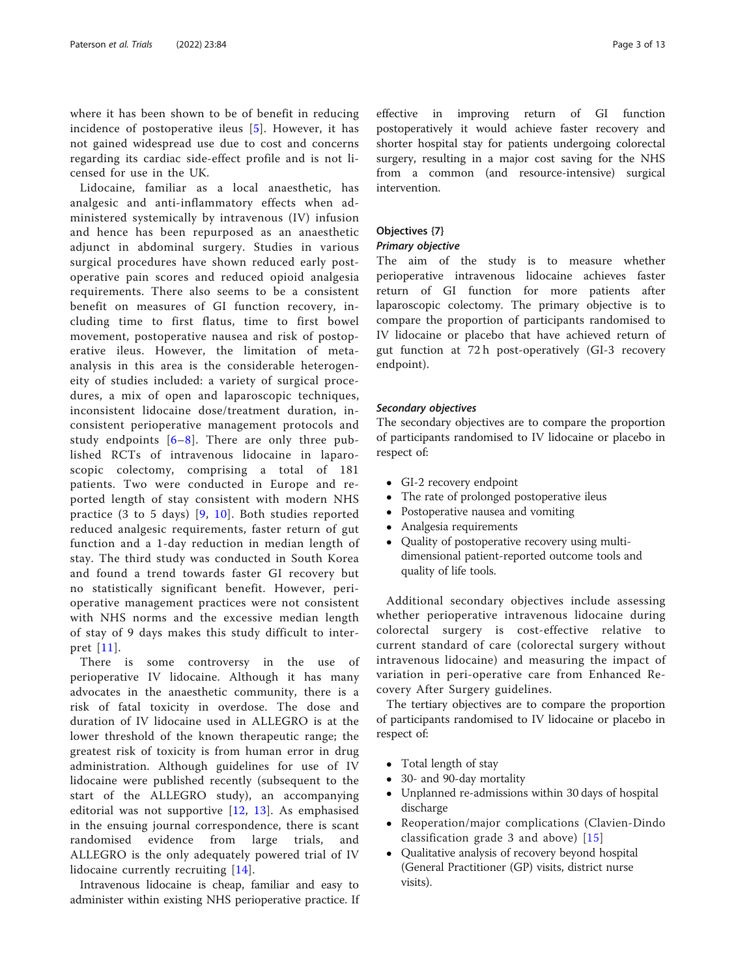where it has been shown to be of benefit in reducing incidence of postoperative ileus  $[5]$  $[5]$  $[5]$ . However, it has not gained widespread use due to cost and concerns regarding its cardiac side-effect profile and is not licensed for use in the UK.

Lidocaine, familiar as a local anaesthetic, has analgesic and anti-inflammatory effects when administered systemically by intravenous (IV) infusion and hence has been repurposed as an anaesthetic adjunct in abdominal surgery. Studies in various surgical procedures have shown reduced early postoperative pain scores and reduced opioid analgesia requirements. There also seems to be a consistent benefit on measures of GI function recovery, including time to first flatus, time to first bowel movement, postoperative nausea and risk of postoperative ileus. However, the limitation of metaanalysis in this area is the considerable heterogeneity of studies included: a variety of surgical procedures, a mix of open and laparoscopic techniques, inconsistent lidocaine dose/treatment duration, inconsistent perioperative management protocols and study endpoints  $[6-8]$  $[6-8]$  $[6-8]$  $[6-8]$ . There are only three published RCTs of intravenous lidocaine in laparoscopic colectomy, comprising a total of 181 patients. Two were conducted in Europe and reported length of stay consistent with modern NHS practice (3 to 5 days) [\[9,](#page-11-0) [10\]](#page-11-0). Both studies reported reduced analgesic requirements, faster return of gut function and a 1-day reduction in median length of stay. The third study was conducted in South Korea and found a trend towards faster GI recovery but no statistically significant benefit. However, perioperative management practices were not consistent with NHS norms and the excessive median length of stay of 9 days makes this study difficult to interpret [[11](#page-11-0)].

There is some controversy in the use of perioperative IV lidocaine. Although it has many advocates in the anaesthetic community, there is a risk of fatal toxicity in overdose. The dose and duration of IV lidocaine used in ALLEGRO is at the lower threshold of the known therapeutic range; the greatest risk of toxicity is from human error in drug administration. Although guidelines for use of IV lidocaine were published recently (subsequent to the start of the ALLEGRO study), an accompanying editorial was not supportive  $[12, 13]$  $[12, 13]$  $[12, 13]$ . As emphasised in the ensuing journal correspondence, there is scant randomised evidence from large trials, and ALLEGRO is the only adequately powered trial of IV lidocaine currently recruiting [[14\]](#page-12-0).

Intravenous lidocaine is cheap, familiar and easy to administer within existing NHS perioperative practice. If

effective in improving return of GI function postoperatively it would achieve faster recovery and shorter hospital stay for patients undergoing colorectal surgery, resulting in a major cost saving for the NHS from a common (and resource-intensive) surgical intervention.

# Objectives {7}

# Primary objective

The aim of the study is to measure whether perioperative intravenous lidocaine achieves faster return of GI function for more patients after laparoscopic colectomy. The primary objective is to compare the proportion of participants randomised to IV lidocaine or placebo that have achieved return of gut function at 72 h post-operatively (GI-3 recovery endpoint).

# Secondary objectives

The secondary objectives are to compare the proportion of participants randomised to IV lidocaine or placebo in respect of:

- GI-2 recovery endpoint
- The rate of prolonged postoperative ileus
- Postoperative nausea and vomiting
- Analgesia requirements
- Quality of postoperative recovery using multidimensional patient-reported outcome tools and quality of life tools.

Additional secondary objectives include assessing whether perioperative intravenous lidocaine during colorectal surgery is cost-effective relative to current standard of care (colorectal surgery without intravenous lidocaine) and measuring the impact of variation in peri-operative care from Enhanced Recovery After Surgery guidelines.

The tertiary objectives are to compare the proportion of participants randomised to IV lidocaine or placebo in respect of:

- Total length of stay
- 30- and 90-day mortality
- Unplanned re-admissions within 30 days of hospital discharge
- Reoperation/major complications (Clavien-Dindo) classification grade 3 and above) [[15](#page-12-0)]
- Qualitative analysis of recovery beyond hospital (General Practitioner (GP) visits, district nurse visits).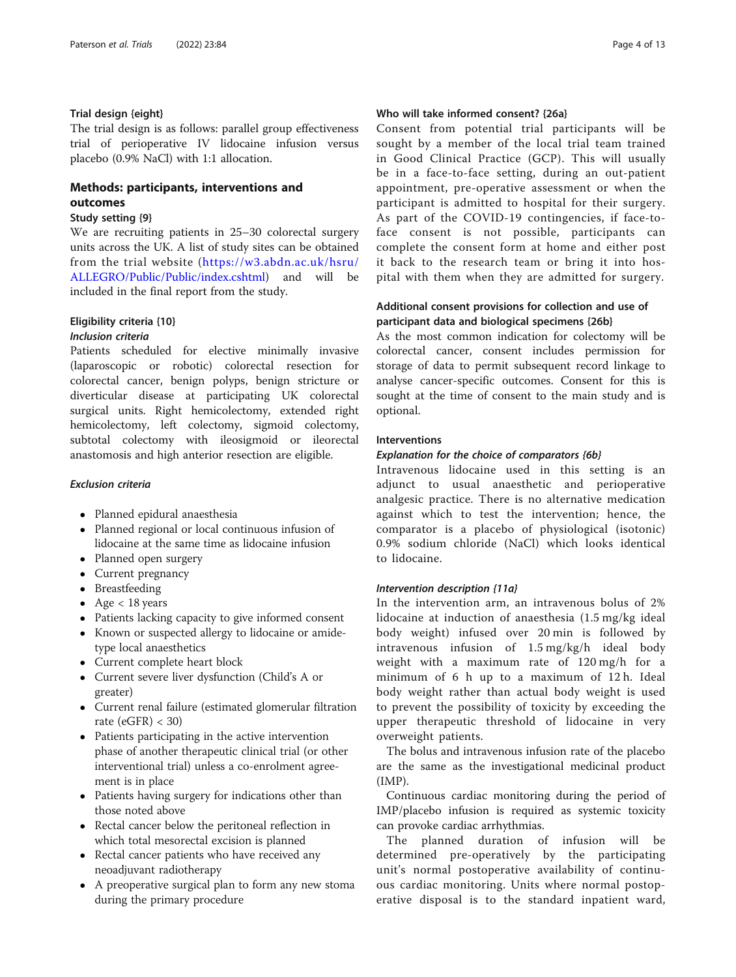# <span id="page-3-0"></span>Trial design {eight}

The trial design is as follows: parallel group effectiveness trial of perioperative IV lidocaine infusion versus placebo (0.9% NaCl) with 1:1 allocation.

# Methods: participants, interventions and outcomes

#### Study setting {9}

We are recruiting patients in 25–30 colorectal surgery units across the UK. A list of study sites can be obtained from the trial website ([https://w3.abdn.ac.uk/hsru/](https://w3.abdn.ac.uk/hsru/ALLEGRO/Public/Public/index.cshtml) [ALLEGRO/Public/Public/index.cshtml\)](https://w3.abdn.ac.uk/hsru/ALLEGRO/Public/Public/index.cshtml) and will be included in the final report from the study.

# Eligibility criteria {10}

# Inclusion criteria

Patients scheduled for elective minimally invasive (laparoscopic or robotic) colorectal resection for colorectal cancer, benign polyps, benign stricture or diverticular disease at participating UK colorectal surgical units. Right hemicolectomy, extended right hemicolectomy, left colectomy, sigmoid colectomy, subtotal colectomy with ileosigmoid or ileorectal anastomosis and high anterior resection are eligible.

# Exclusion criteria

- Planned epidural anaesthesia
- Planned regional or local continuous infusion of lidocaine at the same time as lidocaine infusion
- Planned open surgery
- Current pregnancy
- Breastfeeding
- Age  $<$  18 years
- Patients lacking capacity to give informed consent
- Known or suspected allergy to lidocaine or amidetype local anaesthetics
- Current complete heart block
- Current severe liver dysfunction (Child's A or greater)
- Current renal failure (estimated glomerular filtration rate  $(eGFR) < 30$
- Patients participating in the active intervention phase of another therapeutic clinical trial (or other interventional trial) unless a co-enrolment agreement is in place
- Patients having surgery for indications other than those noted above
- Rectal cancer below the peritoneal reflection in which total mesorectal excision is planned
- Rectal cancer patients who have received any neoadjuvant radiotherapy
- A preoperative surgical plan to form any new stoma during the primary procedure

# Who will take informed consent? {26a}

Consent from potential trial participants will be sought by a member of the local trial team trained in Good Clinical Practice (GCP). This will usually be in a face-to-face setting, during an out-patient appointment, pre-operative assessment or when the participant is admitted to hospital for their surgery. As part of the COVID-19 contingencies, if face-toface consent is not possible, participants can complete the consent form at home and either post it back to the research team or bring it into hospital with them when they are admitted for surgery.

# Additional consent provisions for collection and use of participant data and biological specimens {26b}

As the most common indication for colectomy will be colorectal cancer, consent includes permission for storage of data to permit subsequent record linkage to analyse cancer-specific outcomes. Consent for this is sought at the time of consent to the main study and is optional.

# Interventions

# Explanation for the choice of comparators {6b}

Intravenous lidocaine used in this setting is an adjunct to usual anaesthetic and perioperative analgesic practice. There is no alternative medication against which to test the intervention; hence, the comparator is a placebo of physiological (isotonic) 0.9% sodium chloride (NaCl) which looks identical to lidocaine.

# Intervention description {11a}

In the intervention arm, an intravenous bolus of 2% lidocaine at induction of anaesthesia (1.5 mg/kg ideal body weight) infused over 20 min is followed by intravenous infusion of 1.5 mg/kg/h ideal body weight with a maximum rate of 120 mg/h for a minimum of 6 h up to a maximum of 12 h. Ideal body weight rather than actual body weight is used to prevent the possibility of toxicity by exceeding the upper therapeutic threshold of lidocaine in very overweight patients.

The bolus and intravenous infusion rate of the placebo are the same as the investigational medicinal product (IMP).

Continuous cardiac monitoring during the period of IMP/placebo infusion is required as systemic toxicity can provoke cardiac arrhythmias.

The planned duration of infusion will be determined pre-operatively by the participating unit's normal postoperative availability of continuous cardiac monitoring. Units where normal postoperative disposal is to the standard inpatient ward,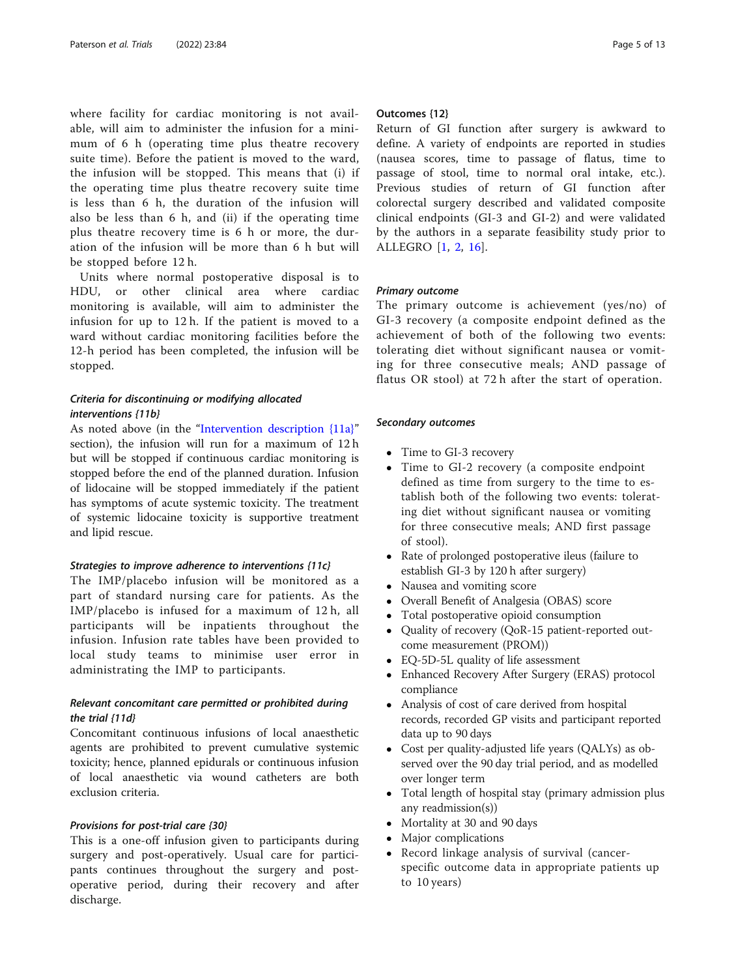where facility for cardiac monitoring is not available, will aim to administer the infusion for a minimum of 6 h (operating time plus theatre recovery suite time). Before the patient is moved to the ward, the infusion will be stopped. This means that (i) if the operating time plus theatre recovery suite time is less than 6 h, the duration of the infusion will also be less than 6 h, and (ii) if the operating time plus theatre recovery time is 6 h or more, the duration of the infusion will be more than 6 h but will be stopped before 12 h.

Units where normal postoperative disposal is to HDU, or other clinical area where cardiac monitoring is available, will aim to administer the infusion for up to 12 h. If the patient is moved to a ward without cardiac monitoring facilities before the 12-h period has been completed, the infusion will be stopped.

# Criteria for discontinuing or modifying allocated interventions {11b}

As noted above (in the "[Intervention description {11a}](#page-3-0)" section), the infusion will run for a maximum of 12 h but will be stopped if continuous cardiac monitoring is stopped before the end of the planned duration. Infusion of lidocaine will be stopped immediately if the patient has symptoms of acute systemic toxicity. The treatment of systemic lidocaine toxicity is supportive treatment and lipid rescue.

#### Strategies to improve adherence to interventions {11c}

The IMP/placebo infusion will be monitored as a part of standard nursing care for patients. As the IMP/placebo is infused for a maximum of 12 h, all participants will be inpatients throughout the infusion. Infusion rate tables have been provided to local study teams to minimise user error in administrating the IMP to participants.

# Relevant concomitant care permitted or prohibited during the trial {11d}

Concomitant continuous infusions of local anaesthetic agents are prohibited to prevent cumulative systemic toxicity; hence, planned epidurals or continuous infusion of local anaesthetic via wound catheters are both exclusion criteria.

#### Provisions for post-trial care {30}

This is a one-off infusion given to participants during surgery and post-operatively. Usual care for participants continues throughout the surgery and postoperative period, during their recovery and after discharge.

# Outcomes {12}

Return of GI function after surgery is awkward to define. A variety of endpoints are reported in studies (nausea scores, time to passage of flatus, time to passage of stool, time to normal oral intake, etc.). Previous studies of return of GI function after colorectal surgery described and validated composite clinical endpoints (GI-3 and GI-2) and were validated by the authors in a separate feasibility study prior to ALLEGRO [[1](#page-11-0), [2](#page-11-0), [16](#page-12-0)].

#### Primary outcome

The primary outcome is achievement (yes/no) of GI-3 recovery (a composite endpoint defined as the achievement of both of the following two events: tolerating diet without significant nausea or vomiting for three consecutive meals; AND passage of flatus OR stool) at 72 h after the start of operation.

# Secondary outcomes

- Time to GI-3 recovery
- Time to GI-2 recovery (a composite endpoint defined as time from surgery to the time to establish both of the following two events: tolerating diet without significant nausea or vomiting for three consecutive meals; AND first passage of stool).
- Rate of prolonged postoperative ileus (failure to establish GI-3 by 120 h after surgery)
- Nausea and vomiting score
- Overall Benefit of Analgesia (OBAS) score
- Total postoperative opioid consumption
- Quality of recovery (QoR-15 patient-reported outcome measurement (PROM))
- EQ-5D-5L quality of life assessment
- Enhanced Recovery After Surgery (ERAS) protocol compliance
- Analysis of cost of care derived from hospital records, recorded GP visits and participant reported data up to 90 days
- Cost per quality-adjusted life years (QALYs) as observed over the 90 day trial period, and as modelled over longer term
- Total length of hospital stay (primary admission plus any readmission(s))
- Mortality at 30 and 90 days
- Major complications
- Record linkage analysis of survival (cancerspecific outcome data in appropriate patients up to 10 years)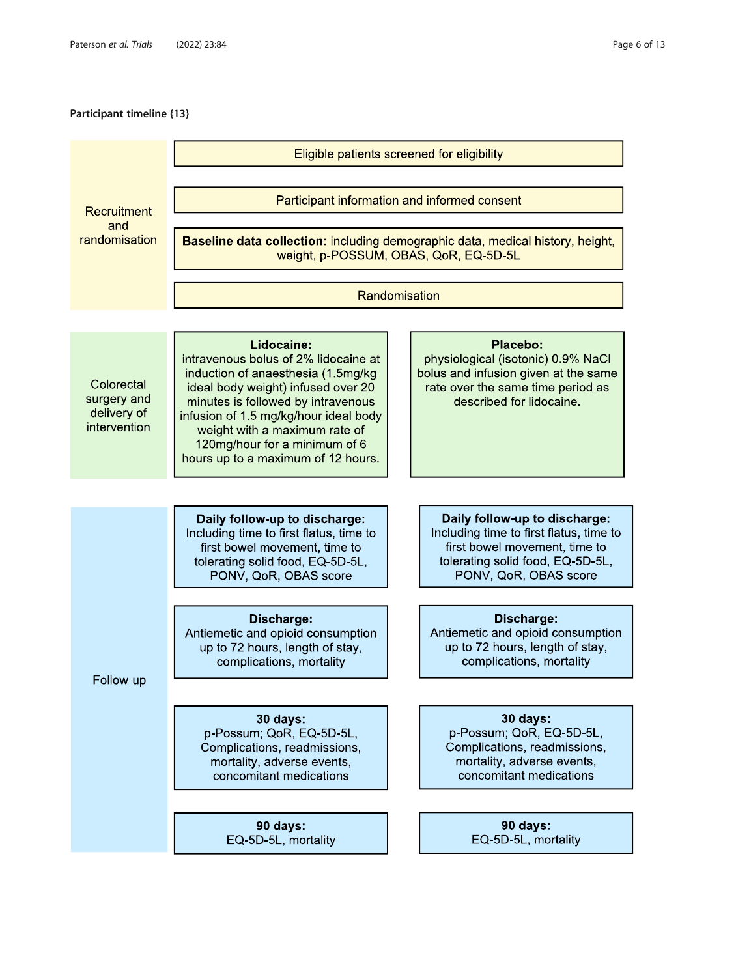# Participant timeline {13}

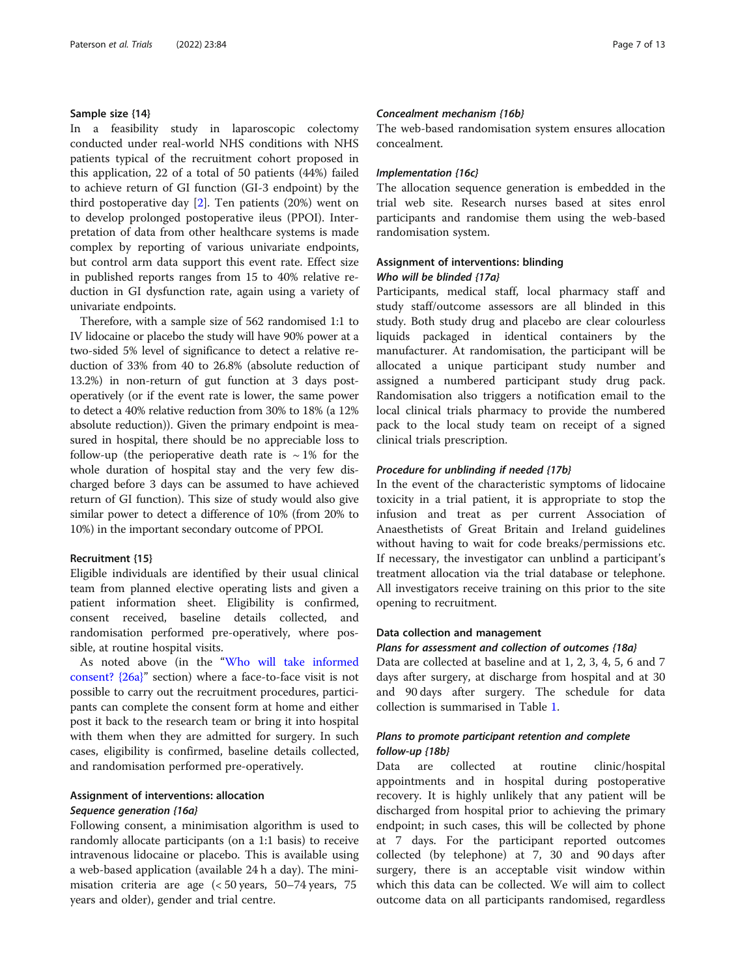#### <span id="page-6-0"></span>Sample size {14}

In a feasibility study in laparoscopic colectomy conducted under real-world NHS conditions with NHS patients typical of the recruitment cohort proposed in this application, 22 of a total of 50 patients (44%) failed to achieve return of GI function (GI-3 endpoint) by the third postoperative day [[2\]](#page-11-0). Ten patients (20%) went on to develop prolonged postoperative ileus (PPOI). Interpretation of data from other healthcare systems is made complex by reporting of various univariate endpoints, but control arm data support this event rate. Effect size in published reports ranges from 15 to 40% relative reduction in GI dysfunction rate, again using a variety of univariate endpoints.

Therefore, with a sample size of 562 randomised 1:1 to IV lidocaine or placebo the study will have 90% power at a two-sided 5% level of significance to detect a relative reduction of 33% from 40 to 26.8% (absolute reduction of 13.2%) in non-return of gut function at 3 days postoperatively (or if the event rate is lower, the same power to detect a 40% relative reduction from 30% to 18% (a 12% absolute reduction)). Given the primary endpoint is measured in hospital, there should be no appreciable loss to follow-up (the perioperative death rate is  $\sim 1\%$  for the whole duration of hospital stay and the very few discharged before 3 days can be assumed to have achieved return of GI function). This size of study would also give similar power to detect a difference of 10% (from 20% to 10%) in the important secondary outcome of PPOI.

# Recruitment {15}

Eligible individuals are identified by their usual clinical team from planned elective operating lists and given a patient information sheet. Eligibility is confirmed, consent received, baseline details collected, and randomisation performed pre-operatively, where possible, at routine hospital visits.

As noted above (in the "[Who will take informed](#page-3-0) [consent? {26a}](#page-3-0)" section) where a face-to-face visit is not possible to carry out the recruitment procedures, participants can complete the consent form at home and either post it back to the research team or bring it into hospital with them when they are admitted for surgery. In such cases, eligibility is confirmed, baseline details collected, and randomisation performed pre-operatively.

# Assignment of interventions: allocation Sequence generation {16a}

Following consent, a minimisation algorithm is used to randomly allocate participants (on a 1:1 basis) to receive intravenous lidocaine or placebo. This is available using a web-based application (available 24 h a day). The minimisation criteria are age (< 50 years, 50–74 years, 75 years and older), gender and trial centre.

#### Concealment mechanism {16b}

The web-based randomisation system ensures allocation concealment.

# Implementation {16c}

The allocation sequence generation is embedded in the trial web site. Research nurses based at sites enrol participants and randomise them using the web-based randomisation system.

# Assignment of interventions: blinding Who will be blinded {17a}

Participants, medical staff, local pharmacy staff and study staff/outcome assessors are all blinded in this study. Both study drug and placebo are clear colourless liquids packaged in identical containers by the manufacturer. At randomisation, the participant will be allocated a unique participant study number and assigned a numbered participant study drug pack. Randomisation also triggers a notification email to the local clinical trials pharmacy to provide the numbered pack to the local study team on receipt of a signed clinical trials prescription.

## Procedure for unblinding if needed {17b}

In the event of the characteristic symptoms of lidocaine toxicity in a trial patient, it is appropriate to stop the infusion and treat as per current Association of Anaesthetists of Great Britain and Ireland guidelines without having to wait for code breaks/permissions etc. If necessary, the investigator can unblind a participant's treatment allocation via the trial database or telephone. All investigators receive training on this prior to the site opening to recruitment.

# Data collection and management

# Plans for assessment and collection of outcomes {18a}

Data are collected at baseline and at 1, 2, 3, 4, 5, 6 and 7 days after surgery, at discharge from hospital and at 30 and 90 days after surgery. The schedule for data collection is summarised in Table [1.](#page-7-0)

# Plans to promote participant retention and complete follow-up {18b}

Data are collected at routine clinic/hospital appointments and in hospital during postoperative recovery. It is highly unlikely that any patient will be discharged from hospital prior to achieving the primary endpoint; in such cases, this will be collected by phone at 7 days. For the participant reported outcomes collected (by telephone) at 7, 30 and 90 days after surgery, there is an acceptable visit window within which this data can be collected. We will aim to collect outcome data on all participants randomised, regardless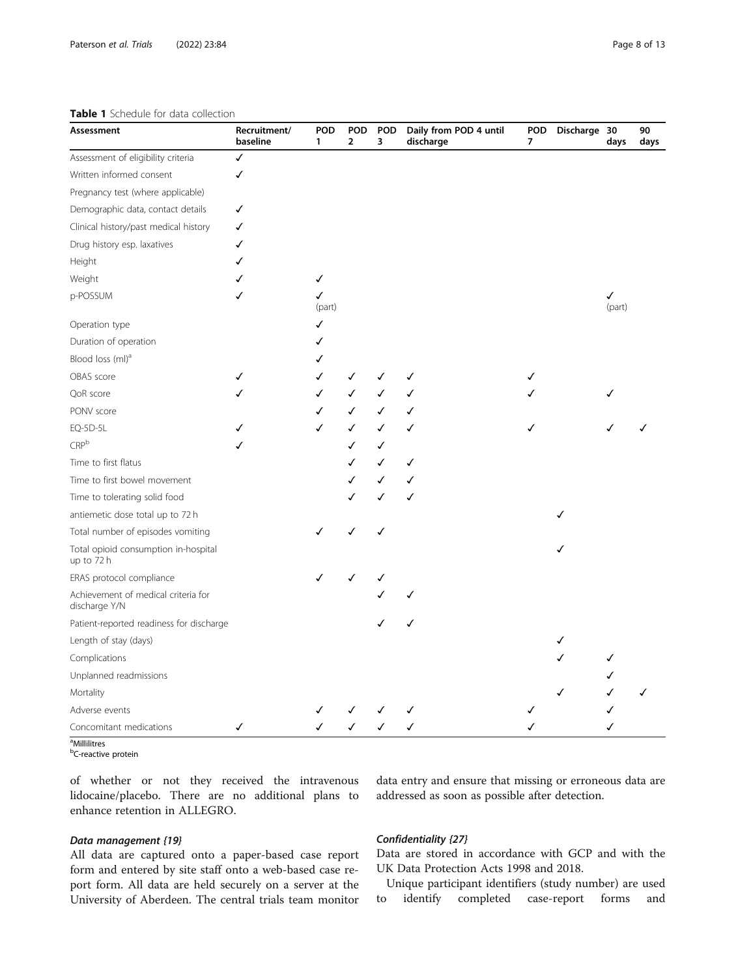#### <span id="page-7-0"></span>Table 1 Schedule for data collection

| Assessment                                           | Recruitment/<br>baseline | <b>POD</b><br>1 | <b>POD</b><br>$\overline{2}$ | POD<br>3 | Daily from POD 4 until<br>discharge | <b>POD</b><br>7 | Discharge 30 | days        | $90\,$<br>days |
|------------------------------------------------------|--------------------------|-----------------|------------------------------|----------|-------------------------------------|-----------------|--------------|-------------|----------------|
| Assessment of eligibility criteria                   | $\checkmark$             |                 |                              |          |                                     |                 |              |             |                |
| Written informed consent                             | ✓                        |                 |                              |          |                                     |                 |              |             |                |
| Pregnancy test (where applicable)                    |                          |                 |                              |          |                                     |                 |              |             |                |
| Demographic data, contact details                    | ✓                        |                 |                              |          |                                     |                 |              |             |                |
| Clinical history/past medical history                | ✓                        |                 |                              |          |                                     |                 |              |             |                |
| Drug history esp. laxatives                          | ✓                        |                 |                              |          |                                     |                 |              |             |                |
| Height                                               | ✓                        |                 |                              |          |                                     |                 |              |             |                |
| Weight                                               | ✓                        | ✓               |                              |          |                                     |                 |              |             |                |
| p-POSSUM                                             | ✓                        | ✓<br>(part)     |                              |          |                                     |                 |              | ✓<br>(part) |                |
| Operation type                                       |                          | ✓               |                              |          |                                     |                 |              |             |                |
| Duration of operation                                |                          | ✓               |                              |          |                                     |                 |              |             |                |
| Blood loss (ml) <sup>a</sup>                         |                          | √               |                              |          |                                     |                 |              |             |                |
| OBAS score                                           | ✓                        | ✓               | ✓                            | J        | ✓                                   | ✓               |              |             |                |
| QoR score                                            | ✓                        | ✓               |                              |          | ✓                                   |                 |              |             |                |
| PONV score                                           |                          | ✓               | ✓                            | ✓        | ✓                                   |                 |              |             |                |
| EQ-5D-5L                                             | ✓                        | ✓               | ✓                            | ✓        | ✓                                   | ✓               |              |             |                |
| CRP <sup>b</sup>                                     | ✓                        |                 | ✓                            | ✓        |                                     |                 |              |             |                |
| Time to first flatus                                 |                          |                 | ✓                            | ✓        | ✓                                   |                 |              |             |                |
| Time to first bowel movement                         |                          |                 | ✓                            | ✓        | ✓                                   |                 |              |             |                |
| Time to tolerating solid food                        |                          |                 | ✓                            | ✓        | ✓                                   |                 |              |             |                |
| antiemetic dose total up to 72 h                     |                          |                 |                              |          |                                     |                 | ✓            |             |                |
| Total number of episodes vomiting                    |                          | ✓               | ✓                            | ✓        |                                     |                 |              |             |                |
| Total opioid consumption in-hospital<br>up to 72 h   |                          |                 |                              |          |                                     |                 | ✓            |             |                |
| ERAS protocol compliance                             |                          | ✓               | ✓                            | ✓        |                                     |                 |              |             |                |
| Achievement of medical criteria for<br>discharge Y/N |                          |                 |                              |          |                                     |                 |              |             |                |
| Patient-reported readiness for discharge             |                          |                 |                              |          |                                     |                 |              |             |                |
| Length of stay (days)                                |                          |                 |                              |          |                                     |                 | ✓            |             |                |
| Complications                                        |                          |                 |                              |          |                                     |                 | ✓            | ✓           |                |
| Unplanned readmissions                               |                          |                 |                              |          |                                     |                 |              |             |                |
| Mortality                                            |                          |                 |                              |          |                                     |                 | ✓            |             | ✓              |
| Adverse events                                       |                          |                 |                              |          |                                     |                 |              |             |                |
| Concomitant medications                              | ✓                        | ✓               | ✓                            | ✓        | ✓                                   |                 |              |             |                |

<sup>a</sup>Millilitres

<sup>b</sup>C-reactive protein

of whether or not they received the intravenous lidocaine/placebo. There are no additional plans to enhance retention in ALLEGRO.

# Data management {19}

All data are captured onto a paper-based case report form and entered by site staff onto a web-based case report form. All data are held securely on a server at the University of Aberdeen. The central trials team monitor

data entry and ensure that missing or erroneous data are addressed as soon as possible after detection.

# Confidentiality {27}

Data are stored in accordance with GCP and with the UK Data Protection Acts 1998 and 2018.

Unique participant identifiers (study number) are used to identify completed case-report forms and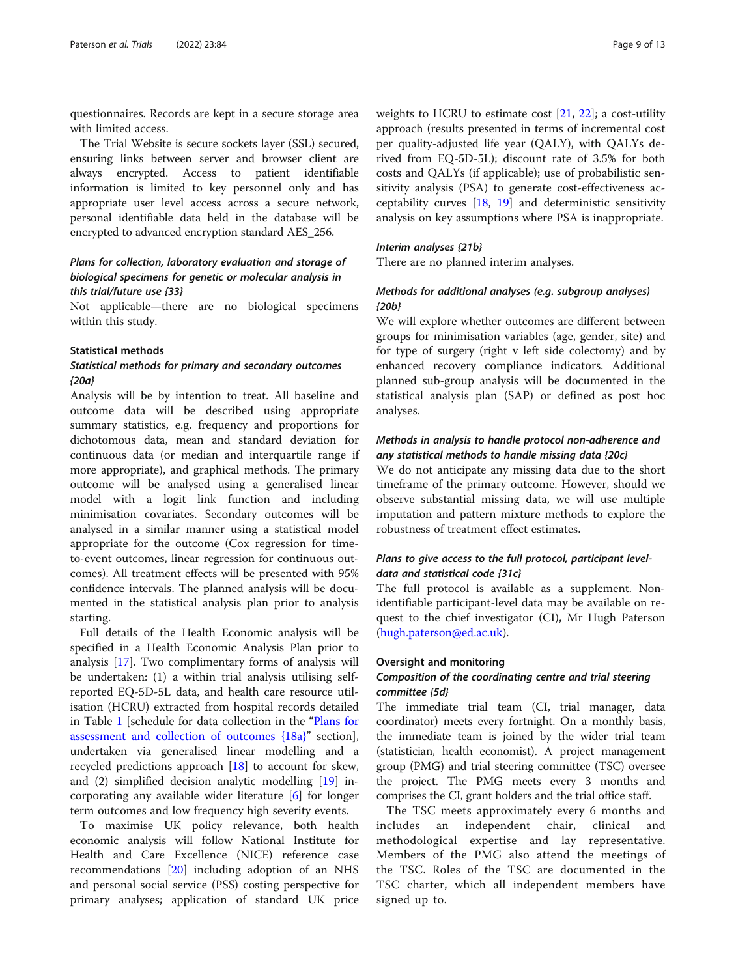questionnaires. Records are kept in a secure storage area with limited access.

The Trial Website is secure sockets layer (SSL) secured, ensuring links between server and browser client are always encrypted. Access to patient identifiable information is limited to key personnel only and has appropriate user level access across a secure network, personal identifiable data held in the database will be encrypted to advanced encryption standard AES\_256.

# Plans for collection, laboratory evaluation and storage of biological specimens for genetic or molecular analysis in this trial/future use {33}

Not applicable—there are no biological specimens within this study.

### Statistical methods

# Statistical methods for primary and secondary outcomes {20a}

Analysis will be by intention to treat. All baseline and outcome data will be described using appropriate summary statistics, e.g. frequency and proportions for dichotomous data, mean and standard deviation for continuous data (or median and interquartile range if more appropriate), and graphical methods. The primary outcome will be analysed using a generalised linear model with a logit link function and including minimisation covariates. Secondary outcomes will be analysed in a similar manner using a statistical model appropriate for the outcome (Cox regression for timeto-event outcomes, linear regression for continuous outcomes). All treatment effects will be presented with 95% confidence intervals. The planned analysis will be documented in the statistical analysis plan prior to analysis starting.

Full details of the Health Economic analysis will be specified in a Health Economic Analysis Plan prior to analysis [[17\]](#page-12-0). Two complimentary forms of analysis will be undertaken: (1) a within trial analysis utilising selfreported EQ-5D-5L data, and health care resource utilisation (HCRU) extracted from hospital records detailed in Table [1](#page-7-0) [schedule for data collection in the "[Plans for](#page-6-0) [assessment and collection of outcomes {18a}](#page-6-0)" section], undertaken via generalised linear modelling and a recycled predictions approach [[18\]](#page-12-0) to account for skew, and (2) simplified decision analytic modelling [\[19\]](#page-12-0) incorporating any available wider literature [[6\]](#page-11-0) for longer term outcomes and low frequency high severity events.

To maximise UK policy relevance, both health economic analysis will follow National Institute for Health and Care Excellence (NICE) reference case recommendations [[20](#page-12-0)] including adoption of an NHS and personal social service (PSS) costing perspective for primary analyses; application of standard UK price

weights to HCRU to estimate cost [\[21](#page-12-0), [22](#page-12-0)]; a cost-utility approach (results presented in terms of incremental cost per quality-adjusted life year (QALY), with QALYs derived from EQ-5D-5L); discount rate of 3.5% for both costs and QALYs (if applicable); use of probabilistic sensitivity analysis (PSA) to generate cost-effectiveness acceptability curves [[18](#page-12-0), [19](#page-12-0)] and deterministic sensitivity analysis on key assumptions where PSA is inappropriate.

# Interim analyses {21b}

There are no planned interim analyses.

# Methods for additional analyses (e.g. subgroup analyses) {20b}

We will explore whether outcomes are different between groups for minimisation variables (age, gender, site) and for type of surgery (right v left side colectomy) and by enhanced recovery compliance indicators. Additional planned sub-group analysis will be documented in the statistical analysis plan (SAP) or defined as post hoc analyses.

# Methods in analysis to handle protocol non-adherence and any statistical methods to handle missing data {20c}

We do not anticipate any missing data due to the short timeframe of the primary outcome. However, should we observe substantial missing data, we will use multiple imputation and pattern mixture methods to explore the robustness of treatment effect estimates.

# Plans to give access to the full protocol, participant leveldata and statistical code {31c}

The full protocol is available as a supplement. Nonidentifiable participant-level data may be available on request to the chief investigator (CI), Mr Hugh Paterson ([hugh.paterson@ed.ac.uk\)](mailto:hugh.paterson@ed.ac.uk).

#### Oversight and monitoring

# Composition of the coordinating centre and trial steering committee {5d}

The immediate trial team (CI, trial manager, data coordinator) meets every fortnight. On a monthly basis, the immediate team is joined by the wider trial team (statistician, health economist). A project management group (PMG) and trial steering committee (TSC) oversee the project. The PMG meets every 3 months and comprises the CI, grant holders and the trial office staff.

The TSC meets approximately every 6 months and includes an independent chair, clinical and methodological expertise and lay representative. Members of the PMG also attend the meetings of the TSC. Roles of the TSC are documented in the TSC charter, which all independent members have signed up to.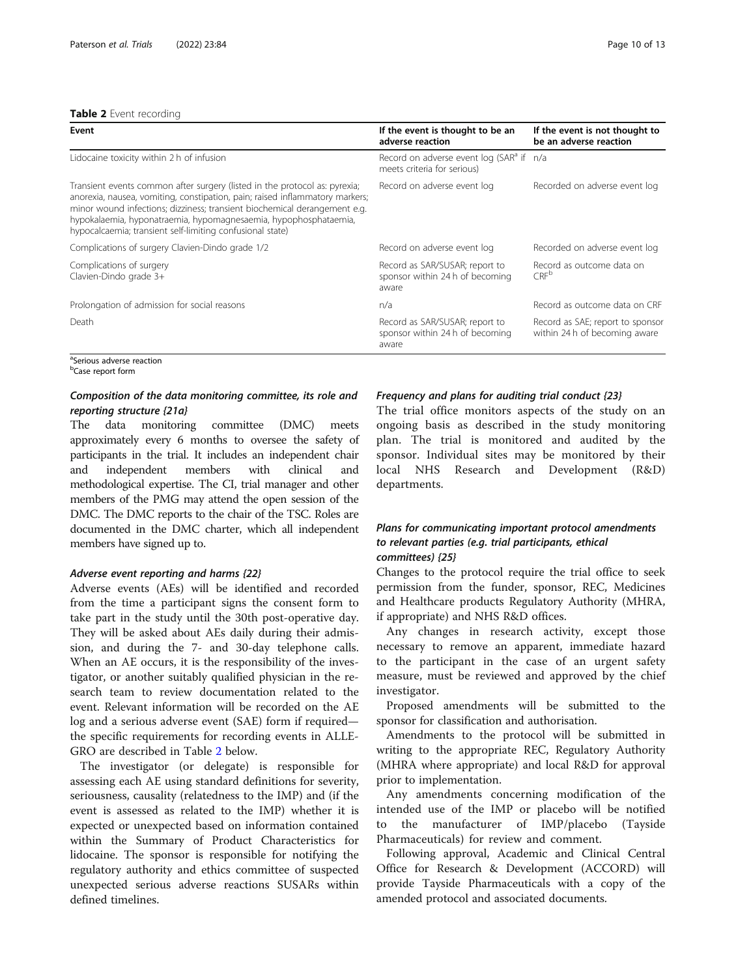#### Table 2 Event recording

| Event                                                                                                                                                                                                                                                                                                                                                                    | If the event is thought to be an<br>adverse reaction                                | If the event is not thought to<br>be an adverse reaction          |  |
|--------------------------------------------------------------------------------------------------------------------------------------------------------------------------------------------------------------------------------------------------------------------------------------------------------------------------------------------------------------------------|-------------------------------------------------------------------------------------|-------------------------------------------------------------------|--|
| Lidocaine toxicity within 2 h of infusion                                                                                                                                                                                                                                                                                                                                | Record on adverse event log (SAR <sup>a</sup> if n/a<br>meets criteria for serious) |                                                                   |  |
| Transient events common after surgery (listed in the protocol as: pyrexia;<br>anorexia, nausea, vomiting, constipation, pain; raised inflammatory markers;<br>minor wound infections; dizziness; transient biochemical derangement e.g.<br>hypokalaemia, hyponatraemia, hypomagnesaemia, hypophosphataemia,<br>hypocalcaemia; transient self-limiting confusional state) | Record on adverse event log                                                         | Recorded on adverse event log                                     |  |
| Complications of surgery Clavien-Dindo grade 1/2                                                                                                                                                                                                                                                                                                                         | Record on adverse event log                                                         | Recorded on adverse event log                                     |  |
| Complications of surgery<br>Clavien-Dindo grade 3+                                                                                                                                                                                                                                                                                                                       | Record as SAR/SUSAR; report to<br>sponsor within 24 h of becoming<br>aware          | Record as outcome data on<br>CRF <sup>b</sup>                     |  |
| Prolongation of admission for social reasons                                                                                                                                                                                                                                                                                                                             | n/a                                                                                 | Record as outcome data on CRF                                     |  |
| Death                                                                                                                                                                                                                                                                                                                                                                    | Record as SAR/SUSAR; report to<br>sponsor within 24 h of becoming<br>aware          | Record as SAE; report to sponsor<br>within 24 h of becoming aware |  |
| <sup>a</sup> Serious adverse reaction                                                                                                                                                                                                                                                                                                                                    |                                                                                     |                                                                   |  |

<sup>b</sup>Case report form

# Composition of the data monitoring committee, its role and reporting structure {21a}

The data monitoring committee (DMC) meets approximately every 6 months to oversee the safety of participants in the trial. It includes an independent chair and independent members with clinical and methodological expertise. The CI, trial manager and other members of the PMG may attend the open session of the DMC. The DMC reports to the chair of the TSC. Roles are documented in the DMC charter, which all independent members have signed up to.

#### Adverse event reporting and harms {22}

Adverse events (AEs) will be identified and recorded from the time a participant signs the consent form to take part in the study until the 30th post-operative day. They will be asked about AEs daily during their admission, and during the 7- and 30-day telephone calls. When an AE occurs, it is the responsibility of the investigator, or another suitably qualified physician in the research team to review documentation related to the event. Relevant information will be recorded on the AE log and a serious adverse event (SAE) form if required the specific requirements for recording events in ALLE-GRO are described in Table 2 below.

The investigator (or delegate) is responsible for assessing each AE using standard definitions for severity, seriousness, causality (relatedness to the IMP) and (if the event is assessed as related to the IMP) whether it is expected or unexpected based on information contained within the Summary of Product Characteristics for lidocaine. The sponsor is responsible for notifying the regulatory authority and ethics committee of suspected unexpected serious adverse reactions SUSARs within defined timelines.

# Frequency and plans for auditing trial conduct {23}

The trial office monitors aspects of the study on an ongoing basis as described in the study monitoring plan. The trial is monitored and audited by the sponsor. Individual sites may be monitored by their local NHS Research and Development (R&D) departments.

# Plans for communicating important protocol amendments to relevant parties (e.g. trial participants, ethical committees) {25}

Changes to the protocol require the trial office to seek permission from the funder, sponsor, REC, Medicines and Healthcare products Regulatory Authority (MHRA, if appropriate) and NHS R&D offices.

Any changes in research activity, except those necessary to remove an apparent, immediate hazard to the participant in the case of an urgent safety measure, must be reviewed and approved by the chief investigator.

Proposed amendments will be submitted to the sponsor for classification and authorisation.

Amendments to the protocol will be submitted in writing to the appropriate REC, Regulatory Authority (MHRA where appropriate) and local R&D for approval prior to implementation.

Any amendments concerning modification of the intended use of the IMP or placebo will be notified to the manufacturer of IMP/placebo (Tayside Pharmaceuticals) for review and comment.

Following approval, Academic and Clinical Central Office for Research & Development (ACCORD) will provide Tayside Pharmaceuticals with a copy of the amended protocol and associated documents.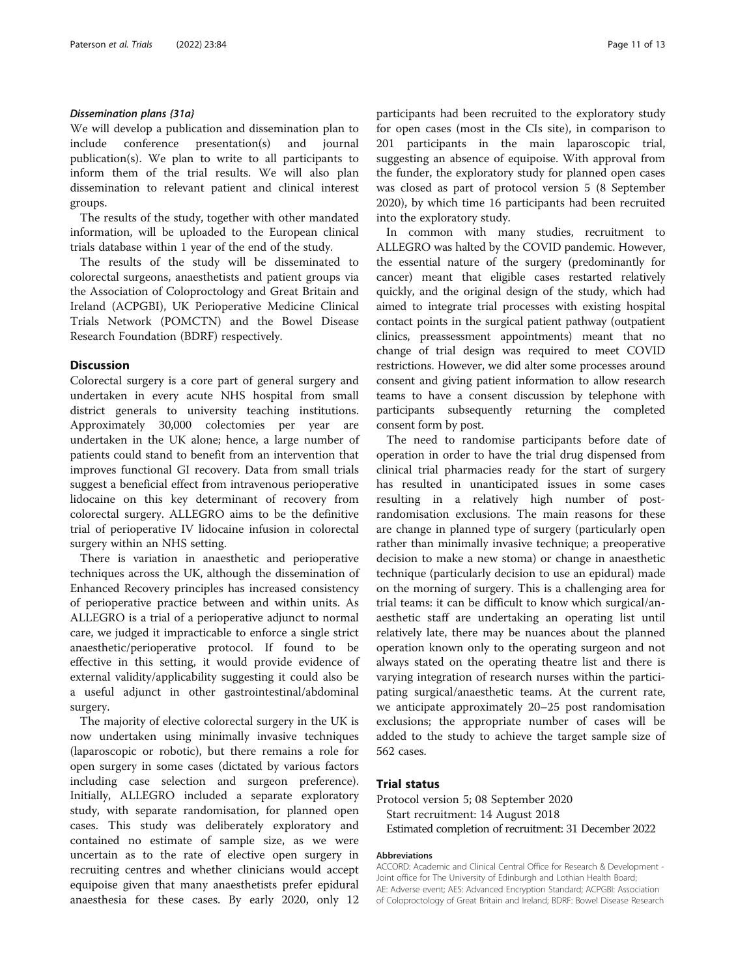# Dissemination plans {31a}

We will develop a publication and dissemination plan to include conference presentation(s) and journal publication(s). We plan to write to all participants to inform them of the trial results. We will also plan dissemination to relevant patient and clinical interest groups.

The results of the study, together with other mandated information, will be uploaded to the European clinical trials database within 1 year of the end of the study.

The results of the study will be disseminated to colorectal surgeons, anaesthetists and patient groups via the Association of Coloproctology and Great Britain and Ireland (ACPGBI), UK Perioperative Medicine Clinical Trials Network (POMCTN) and the Bowel Disease Research Foundation (BDRF) respectively.

# **Discussion**

Colorectal surgery is a core part of general surgery and undertaken in every acute NHS hospital from small district generals to university teaching institutions. Approximately 30,000 colectomies per year are undertaken in the UK alone; hence, a large number of patients could stand to benefit from an intervention that improves functional GI recovery. Data from small trials suggest a beneficial effect from intravenous perioperative lidocaine on this key determinant of recovery from colorectal surgery. ALLEGRO aims to be the definitive trial of perioperative IV lidocaine infusion in colorectal surgery within an NHS setting.

There is variation in anaesthetic and perioperative techniques across the UK, although the dissemination of Enhanced Recovery principles has increased consistency of perioperative practice between and within units. As ALLEGRO is a trial of a perioperative adjunct to normal care, we judged it impracticable to enforce a single strict anaesthetic/perioperative protocol. If found to be effective in this setting, it would provide evidence of external validity/applicability suggesting it could also be a useful adjunct in other gastrointestinal/abdominal surgery.

The majority of elective colorectal surgery in the UK is now undertaken using minimally invasive techniques (laparoscopic or robotic), but there remains a role for open surgery in some cases (dictated by various factors including case selection and surgeon preference). Initially, ALLEGRO included a separate exploratory study, with separate randomisation, for planned open cases. This study was deliberately exploratory and contained no estimate of sample size, as we were uncertain as to the rate of elective open surgery in recruiting centres and whether clinicians would accept equipoise given that many anaesthetists prefer epidural anaesthesia for these cases. By early 2020, only 12 participants had been recruited to the exploratory study for open cases (most in the CIs site), in comparison to 201 participants in the main laparoscopic trial, suggesting an absence of equipoise. With approval from the funder, the exploratory study for planned open cases was closed as part of protocol version 5 (8 September 2020), by which time 16 participants had been recruited into the exploratory study.

In common with many studies, recruitment to ALLEGRO was halted by the COVID pandemic. However, the essential nature of the surgery (predominantly for cancer) meant that eligible cases restarted relatively quickly, and the original design of the study, which had aimed to integrate trial processes with existing hospital contact points in the surgical patient pathway (outpatient clinics, preassessment appointments) meant that no change of trial design was required to meet COVID restrictions. However, we did alter some processes around consent and giving patient information to allow research teams to have a consent discussion by telephone with participants subsequently returning the completed consent form by post.

The need to randomise participants before date of operation in order to have the trial drug dispensed from clinical trial pharmacies ready for the start of surgery has resulted in unanticipated issues in some cases resulting in a relatively high number of postrandomisation exclusions. The main reasons for these are change in planned type of surgery (particularly open rather than minimally invasive technique; a preoperative decision to make a new stoma) or change in anaesthetic technique (particularly decision to use an epidural) made on the morning of surgery. This is a challenging area for trial teams: it can be difficult to know which surgical/anaesthetic staff are undertaking an operating list until relatively late, there may be nuances about the planned operation known only to the operating surgeon and not always stated on the operating theatre list and there is varying integration of research nurses within the participating surgical/anaesthetic teams. At the current rate, we anticipate approximately 20–25 post randomisation exclusions; the appropriate number of cases will be added to the study to achieve the target sample size of 562 cases.

# Trial status

Protocol version 5; 08 September 2020 Start recruitment: 14 August 2018 Estimated completion of recruitment: 31 December 2022

#### Abbreviations

ACCORD: Academic and Clinical Central Office for Research & Development - Joint office for The University of Edinburgh and Lothian Health Board; AE: Adverse event; AES: Advanced Encryption Standard; ACPGBI: Association of Coloproctology of Great Britain and Ireland; BDRF: Bowel Disease Research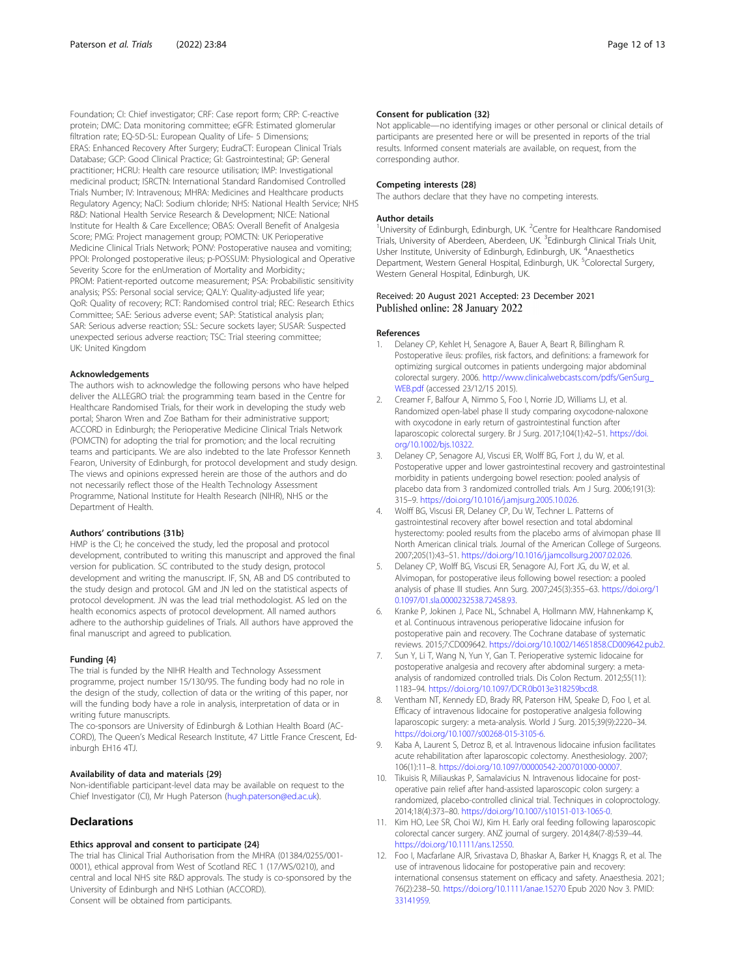<span id="page-11-0"></span>Foundation; CI: Chief investigator; CRF: Case report form; CRP: C-reactive protein; DMC: Data monitoring committee; eGFR: Estimated glomerular filtration rate; EQ-5D-5L: European Quality of Life- 5 Dimensions; ERAS: Enhanced Recovery After Surgery; EudraCT: European Clinical Trials Database; GCP: Good Clinical Practice; GI: Gastrointestinal; GP: General practitioner; HCRU: Health care resource utilisation; IMP: Investigational medicinal product; ISRCTN: International Standard Randomised Controlled Trials Number; IV: Intravenous; MHRA: Medicines and Healthcare products Regulatory Agency; NaCl: Sodium chloride; NHS: National Health Service; NHS R&D: National Health Service Research & Development; NICE: National Institute for Health & Care Excellence; OBAS: Overall Benefit of Analgesia Score; PMG: Project management group; POMCTN: UK Perioperative Medicine Clinical Trials Network; PONV: Postoperative nausea and vomiting; PPOI: Prolonged postoperative ileus; p-POSSUM: Physiological and Operative Severity Score for the enUmeration of Mortality and Morbidity.; PROM: Patient-reported outcome measurement; PSA: Probabilistic sensitivity analysis; PSS: Personal social service; QALY: Quality-adjusted life year; QoR: Quality of recovery; RCT: Randomised control trial; REC: Research Ethics Committee; SAE: Serious adverse event; SAP: Statistical analysis plan; SAR: Serious adverse reaction; SSL: Secure sockets layer; SUSAR: Suspected unexpected serious adverse reaction; TSC: Trial steering committee; UK: United Kingdom

#### Acknowledgements

The authors wish to acknowledge the following persons who have helped deliver the ALLEGRO trial: the programming team based in the Centre for Healthcare Randomised Trials, for their work in developing the study web portal; Sharon Wren and Zoe Batham for their administrative support; ACCORD in Edinburgh; the Perioperative Medicine Clinical Trials Network (POMCTN) for adopting the trial for promotion; and the local recruiting teams and participants. We are also indebted to the late Professor Kenneth Fearon, University of Edinburgh, for protocol development and study design. The views and opinions expressed herein are those of the authors and do not necessarily reflect those of the Health Technology Assessment Programme, National Institute for Health Research (NIHR), NHS or the Department of Health.

#### Authors' contributions {31b}

HMP is the CI; he conceived the study, led the proposal and protocol development, contributed to writing this manuscript and approved the final version for publication. SC contributed to the study design, protocol development and writing the manuscript. IF, SN, AB and DS contributed to the study design and protocol. GM and JN led on the statistical aspects of protocol development. JN was the lead trial methodologist. AS led on the health economics aspects of protocol development. All named authors adhere to the authorship guidelines of Trials. All authors have approved the final manuscript and agreed to publication.

## Funding {4}

The trial is funded by the NIHR Health and Technology Assessment programme, project number 15/130/95. The funding body had no role in the design of the study, collection of data or the writing of this paper, nor will the funding body have a role in analysis, interpretation of data or in writing future manuscripts.

The co-sponsors are University of Edinburgh & Lothian Health Board (AC-CORD), The Queen's Medical Research Institute, 47 Little France Crescent, Edinburgh EH16 4TJ.

#### Availability of data and materials {29}

Non-identifiable participant-level data may be available on request to the Chief Investigator (CI), Mr Hugh Paterson ([hugh.paterson@ed.ac.uk](mailto:hugh.paterson@ed.ac.uk)).

#### Declarations

#### Ethics approval and consent to participate {24}

The trial has Clinical Trial Authorisation from the MHRA (01384/0255/001- 0001), ethical approval from West of Scotland REC 1 (17/WS/0210), and central and local NHS site R&D approvals. The study is co-sponsored by the University of Edinburgh and NHS Lothian (ACCORD). Consent will be obtained from participants.

#### Consent for publication {32}

Not applicable—no identifying images or other personal or clinical details of participants are presented here or will be presented in reports of the trial results. Informed consent materials are available, on request, from the corresponding author.

#### Competing interests {28}

The authors declare that they have no competing interests.

#### Author details

<sup>1</sup> University of Edinburgh, Edinburgh, UK. <sup>2</sup> Centre for Healthcare Randomised Trials, University of Aberdeen, Aberdeen, UK. <sup>3</sup>Edinburgh Clinical Trials Unit Usher Institute, University of Edinburgh, Edinburgh, UK. <sup>4</sup>Anaesthetics Department, Western General Hospital, Edinburgh, UK. <sup>5</sup>Colorectal Surgery, Western General Hospital, Edinburgh, UK.

## Received: 20 August 2021 Accepted: 23 December 2021 Published online: 28 January 2022

#### References

- 1. Delaney CP, Kehlet H, Senagore A, Bauer A, Beart R, Billingham R. Postoperative ileus: profiles, risk factors, and definitions: a framework for optimizing surgical outcomes in patients undergoing major abdominal colorectal surgery. 2006. [http://www.clinicalwebcasts.com/pdfs/GenSurg\\_](http://www.clinicalwebcasts.com/pdfs/GenSurg_WEB.pdf) [WEB.pdf](http://www.clinicalwebcasts.com/pdfs/GenSurg_WEB.pdf) (accessed 23/12/15 2015).
- 2. Creamer F, Balfour A, Nimmo S, Foo I, Norrie JD, Williams LJ, et al. Randomized open-label phase II study comparing oxycodone-naloxone with oxycodone in early return of gastrointestinal function after laparoscopic colorectal surgery. Br J Surg. 2017;104(1):42–51. [https://doi.](https://doi.org/10.1002/bjs.10322) [org/10.1002/bjs.10322](https://doi.org/10.1002/bjs.10322).
- 3. Delaney CP, Senagore AJ, Viscusi ER, Wolff BG, Fort J, du W, et al. Postoperative upper and lower gastrointestinal recovery and gastrointestinal morbidity in patients undergoing bowel resection: pooled analysis of placebo data from 3 randomized controlled trials. Am J Surg. 2006;191(3): 315–9. <https://doi.org/10.1016/j.amjsurg.2005.10.026>.
- 4. Wolff BG, Viscusi ER, Delaney CP, Du W, Techner L. Patterns of gastrointestinal recovery after bowel resection and total abdominal hysterectomy: pooled results from the placebo arms of alvimopan phase III North American clinical trials. Journal of the American College of Surgeons. 2007;205(1):43–51. <https://doi.org/10.1016/j.jamcollsurg.2007.02.026>.
- Delaney CP, Wolff BG, Viscusi ER, Senagore AJ, Fort JG, du W, et al. Alvimopan, for postoperative ileus following bowel resection: a pooled analysis of phase III studies. Ann Surg. 2007;245(3):355–63. [https://doi.org/1](https://doi.org/10.1097/01.sla.0000232538.72458.93) [0.1097/01.sla.0000232538.72458.93](https://doi.org/10.1097/01.sla.0000232538.72458.93).
- Kranke P, Jokinen J, Pace NL, Schnabel A, Hollmann MW, Hahnenkamp K, et al. Continuous intravenous perioperative lidocaine infusion for postoperative pain and recovery. The Cochrane database of systematic reviews. 2015;7:CD009642. [https://doi.org/10.1002/14651858.CD009642.pub2.](https://doi.org/10.1002/14651858.CD009642.pub2)
- 7. Sun Y, Li T, Wang N, Yun Y, Gan T. Perioperative systemic lidocaine for postoperative analgesia and recovery after abdominal surgery: a metaanalysis of randomized controlled trials. Dis Colon Rectum. 2012;55(11): 1183–94. <https://doi.org/10.1097/DCR.0b013e318259bcd8>.
- Ventham NT, Kennedy ED, Brady RR, Paterson HM, Speake D, Foo I, et al. Efficacy of intravenous lidocaine for postoperative analgesia following laparoscopic surgery: a meta-analysis. World J Surg. 2015;39(9):2220–34. <https://doi.org/10.1007/s00268-015-3105-6>.
- 9. Kaba A, Laurent S, Detroz B, et al. Intravenous lidocaine infusion facilitates acute rehabilitation after laparoscopic colectomy. Anesthesiology. 2007; 106(1):11–8. [https://doi.org/10.1097/00000542-200701000-00007.](https://doi.org/10.1097/00000542-200701000-00007)
- 10. Tikuisis R, Miliauskas P, Samalavicius N. Intravenous lidocaine for postoperative pain relief after hand-assisted laparoscopic colon surgery: a randomized, placebo-controlled clinical trial. Techniques in coloproctology. 2014;18(4):373–80. <https://doi.org/10.1007/s10151-013-1065-0>.
- 11. Kim HO, Lee SR, Choi WJ, Kim H. Early oral feeding following laparoscopic colorectal cancer surgery. ANZ journal of surgery. 2014;84(7-8):539–44. [https://doi.org/10.1111/ans.12550.](https://doi.org/10.1111/ans.12550)
- 12. Foo I, Macfarlane AJR, Srivastava D, Bhaskar A, Barker H, Knaggs R, et al. The use of intravenous lidocaine for postoperative pain and recovery: international consensus statement on efficacy and safety. Anaesthesia. 2021; 76(2):238–50. <https://doi.org/10.1111/anae.15270> Epub 2020 Nov 3. PMID: [33141959](https://www.ncbi.nlm.nih.gov/pubmed/33141959).